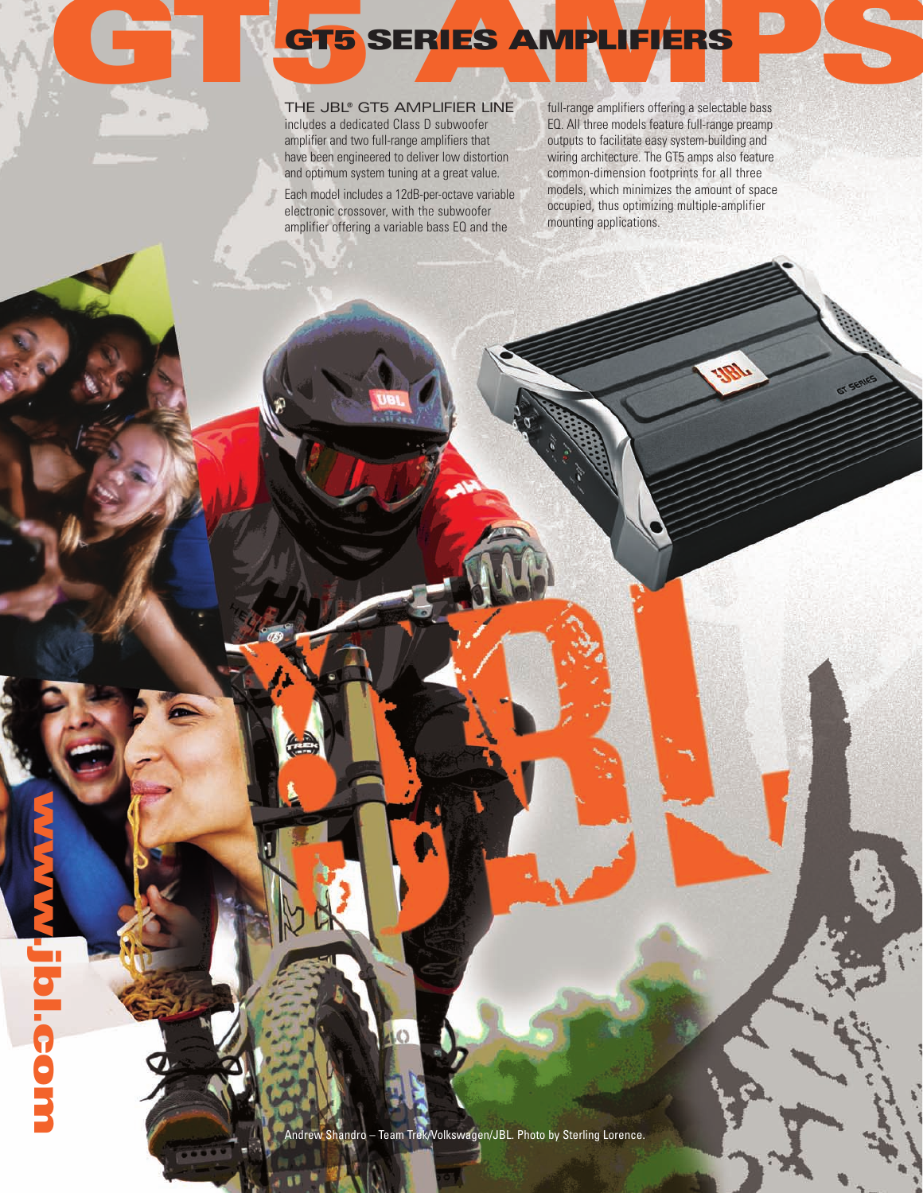#### THE JBL® GT5 AMPLIFIER LINE includes a dedicated Class D subwoofer

amplifier and two full-range amplifiers that have been engineered to deliver low distortion and optimum system tuning at a great value.

Each model includes a 12dB-per-octave variable electronic crossover, with the subwoofer amplifier offering a variable bass EQ and the

**com GT5 AMPS GT5 SERIES AMPLIFIERS** full-range amplifiers offering a selectable bass EQ. All three models feature full-range preamp outputs to facilitate easy system-building and wiring architecture. The GT5 amps also feature common-dimension footprints for all three models, which minimizes the amount of space occupied, thus optimizing multiple-amplifier mounting applications.

Andrew Shandro – Team Trek/Volkswagen/JBL. Photo by Sterling Lorence.

**www**

**jbl**